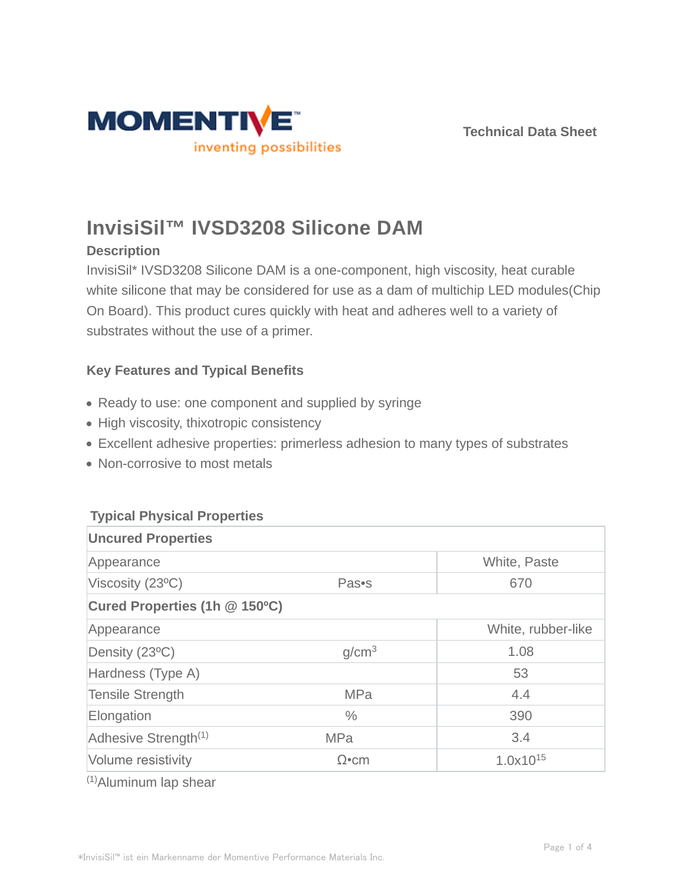



# **InvisiSil™ IVSD3208 Silicone DAM**

### **Description**

InvisiSil\* IVSD3208 Silicone DAM is a one-component, high viscosity, heat curable white silicone that may be considered for use as a dam of multichip LED modules(Chip On Board). This product cures quickly with heat and adheres well to a variety of substrates without the use of a primer.

## **Key Features and Typical Benefits**

- Ready to use: one component and supplied by syringe
- High viscosity, thixotropic consistency
- Excellent adhesive properties: primerless adhesion to many types of substrates
- Non-corrosive to most metals

#### **Typical Physical Properties**

| <b>Uncured Properties</b>        |                   |                    |  |  |
|----------------------------------|-------------------|--------------------|--|--|
| Appearance                       |                   | White, Paste       |  |  |
| Viscosity (23°C)                 | Pas•s             | 670                |  |  |
| Cured Properties (1h @ 150°C)    |                   |                    |  |  |
| Appearance                       |                   | White, rubber-like |  |  |
| Density (23°C)                   | g/cm <sup>3</sup> | 1.08               |  |  |
| Hardness (Type A)                |                   | 53                 |  |  |
| <b>Tensile Strength</b>          | <b>MPa</b>        | 4.4                |  |  |
| Elongation                       | $\frac{0}{0}$     | 390                |  |  |
| Adhesive Strength <sup>(1)</sup> | <b>MPa</b>        | 3.4                |  |  |
| Volume resistivity               | $\Omega$ •cm      | $1.0x10^{15}$      |  |  |

(1)Aluminum lap shear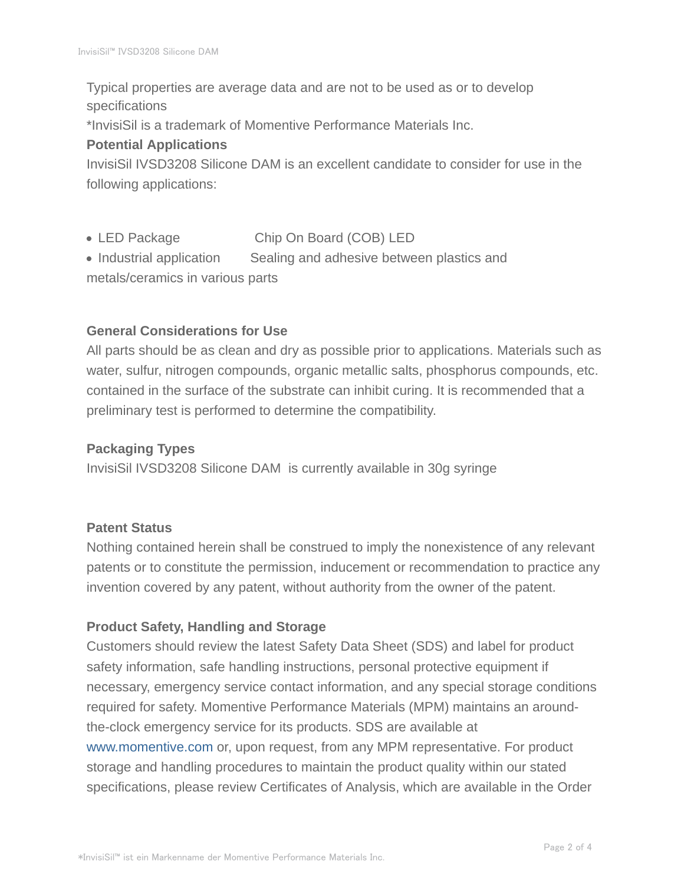Typical properties are average data and are not to be used as or to develop specifications

\*InvisiSil is a trademark of Momentive Performance Materials Inc.

#### **Potential Applications**

InvisiSil IVSD3208 Silicone DAM is an excellent candidate to consider for use in the following applications:

- LED Package Chip On Board (COB) LED
- Industrial application Sealing and adhesive between plastics and metals/ceramics in various parts

#### **General Considerations for Use**

All parts should be as clean and dry as possible prior to applications. Materials such as water, sulfur, nitrogen compounds, organic metallic salts, phosphorus compounds, etc. contained in the surface of the substrate can inhibit curing. It is recommended that a preliminary test is performed to determine the compatibility.

#### **Packaging Types**

InvisiSil IVSD3208 Silicone DAM is currently available in 30g syringe

#### **Patent Status**

Nothing contained herein shall be construed to imply the nonexistence of any relevant patents or to constitute the permission, inducement or recommendation to practice any invention covered by any patent, without authority from the owner of the patent.

#### **Product Safety, Handling and Storage**

Customers should review the latest Safety Data Sheet (SDS) and label for product safety information, safe handling instructions, personal protective equipment if necessary, emergency service contact information, and any special storage conditions required for safety. Momentive Performance Materials (MPM) maintains an aroundthe-clock emergency service for its products. SDS are available at www.momentive.com or, upon request, from any MPM representative. For product storage and handling procedures to maintain the product quality within our stated specifications, please review Certificates of Analysis, which are available in the Order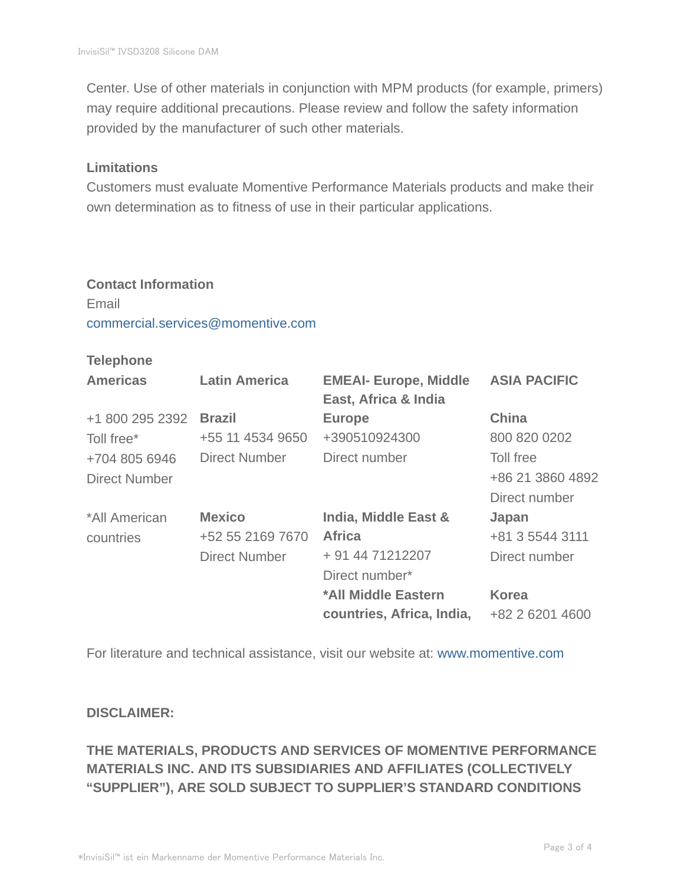Center. Use of other materials in conjunction with MPM products (for example, primers) may require additional precautions. Please review and follow the safety information provided by the manufacturer of such other materials.

#### **Limitations**

Customers must evaluate Momentive Performance Materials products and make their own determination as to fitness of use in their particular applications.

# **Contact Information** Email commercial.services@momentive.com

#### **Telephone**

| <b>Americas</b>      | <b>Latin America</b> | <b>EMEAI- Europe, Middle</b><br>East, Africa & India | <b>ASIA PACIFIC</b> |
|----------------------|----------------------|------------------------------------------------------|---------------------|
| +1 800 295 2392      | <b>Brazil</b>        | <b>Europe</b>                                        | <b>China</b>        |
| Toll free*           | +55 11 4534 9650     | +390510924300                                        | 800 820 0202        |
| +704 805 6946        | Direct Number        | Direct number                                        | Toll free           |
| <b>Direct Number</b> |                      |                                                      | +86 21 3860 4892    |
|                      |                      |                                                      | Direct number       |
| *All American        | <b>Mexico</b>        | India, Middle East &                                 | Japan               |
| countries            | +52 55 2169 7670     | <b>Africa</b>                                        | +81 3 5544 3111     |
|                      | <b>Direct Number</b> | + 91 44 71212207                                     | Direct number       |
|                      |                      | Direct number*                                       |                     |
|                      |                      | *All Middle Eastern                                  | <b>Korea</b>        |
|                      |                      | countries, Africa, India,                            | +82 2 6201 4600     |

For literature and technical assistance, visit our website at: www.momentive.com

#### **DISCLAIMER:**

# **THE MATERIALS, PRODUCTS AND SERVICES OF MOMENTIVE PERFORMANCE MATERIALS INC. AND ITS SUBSIDIARIES AND AFFILIATES (COLLECTIVELY "SUPPLIER"), ARE SOLD SUBJECT TO SUPPLIER'S STANDARD CONDITIONS**